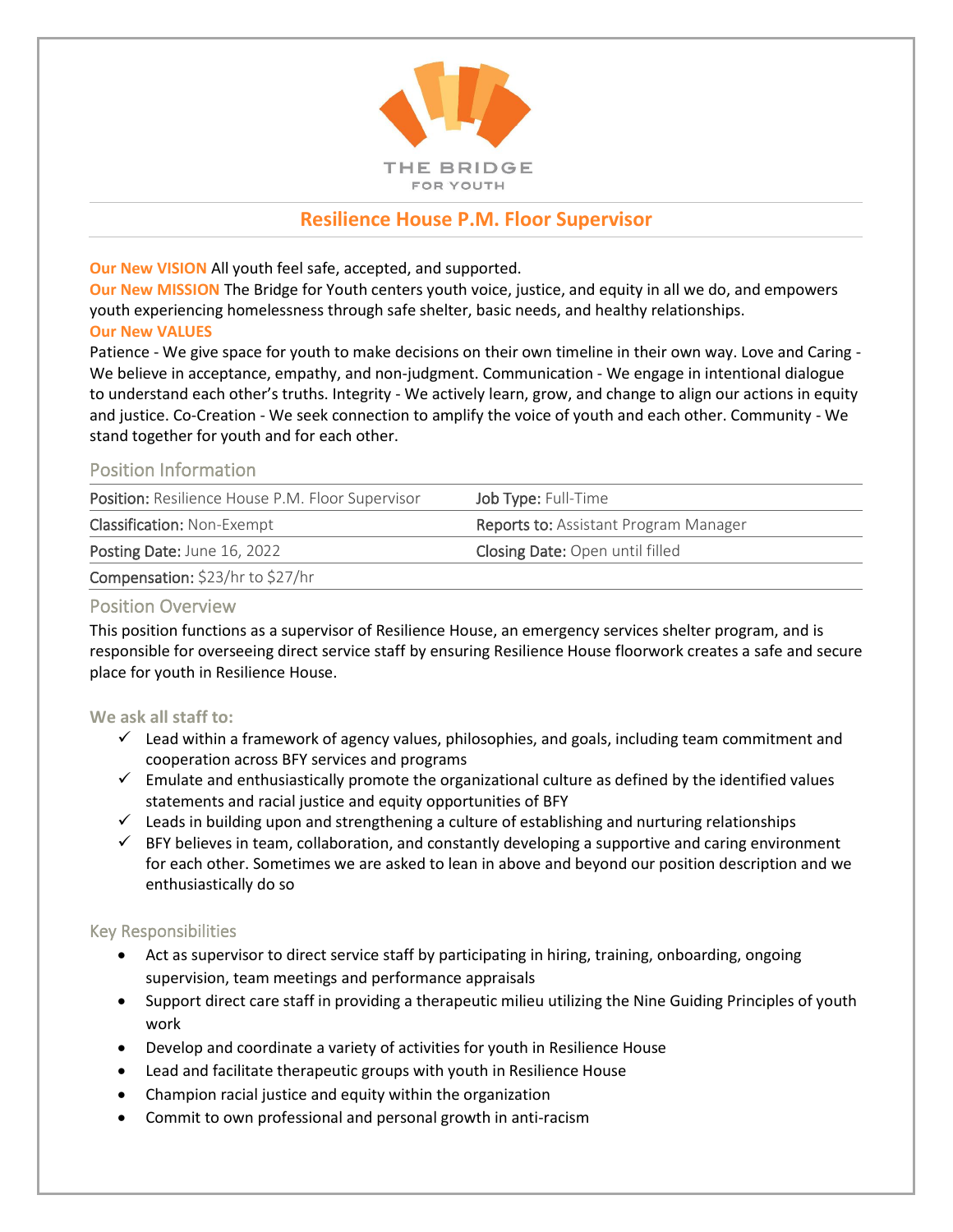

# **Resilience House P.M. Floor Supervisor**

**Our New VISION** All youth feel safe, accepted, and supported.

**Our New MISSION** The Bridge for Youth centers youth voice, justice, and equity in all we do, and empowers youth experiencing homelessness through safe shelter, basic needs, and healthy relationships. **Our New VALUES**

Patience - We give space for youth to make decisions on their own timeline in their own way. Love and Caring - We believe in acceptance, empathy, and non-judgment. Communication - We engage in intentional dialogue to understand each other's truths. Integrity - We actively learn, grow, and change to align our actions in equity and justice. Co-Creation - We seek connection to amplify the voice of youth and each other. Community - We stand together for youth and for each other.

## Position Information

| Position: Resilience House P.M. Floor Supervisor | Job Type: Full-Time                          |
|--------------------------------------------------|----------------------------------------------|
| <b>Classification: Non-Exempt</b>                | <b>Reports to: Assistant Program Manager</b> |
| Posting Date: June 16, 2022                      | <b>Closing Date: Open until filled</b>       |
| Compensation: \$23/hr to \$27/hr                 |                                              |

## Position Overview

This position functions as a supervisor of Resilience House, an emergency services shelter program, and is responsible for overseeing direct service staff by ensuring Resilience House floorwork creates a safe and secure place for youth in Resilience House.

### **We ask all staff to:**

- $\checkmark$  Lead within a framework of agency values, philosophies, and goals, including team commitment and cooperation across BFY services and programs
- $\checkmark$  Emulate and enthusiastically promote the organizational culture as defined by the identified values statements and racial justice and equity opportunities of BFY
- $\checkmark$  Leads in building upon and strengthening a culture of establishing and nurturing relationships
- $\checkmark$  BFY believes in team, collaboration, and constantly developing a supportive and caring environment for each other. Sometimes we are asked to lean in above and beyond our position description and we enthusiastically do so

# Key Responsibilities

- Act as supervisor to direct service staff by participating in hiring, training, onboarding, ongoing supervision, team meetings and performance appraisals
- Support direct care staff in providing a therapeutic milieu utilizing the Nine Guiding Principles of youth work
- Develop and coordinate a variety of activities for youth in Resilience House
- Lead and facilitate therapeutic groups with youth in Resilience House
- Champion racial justice and equity within the organization
- Commit to own professional and personal growth in anti-racism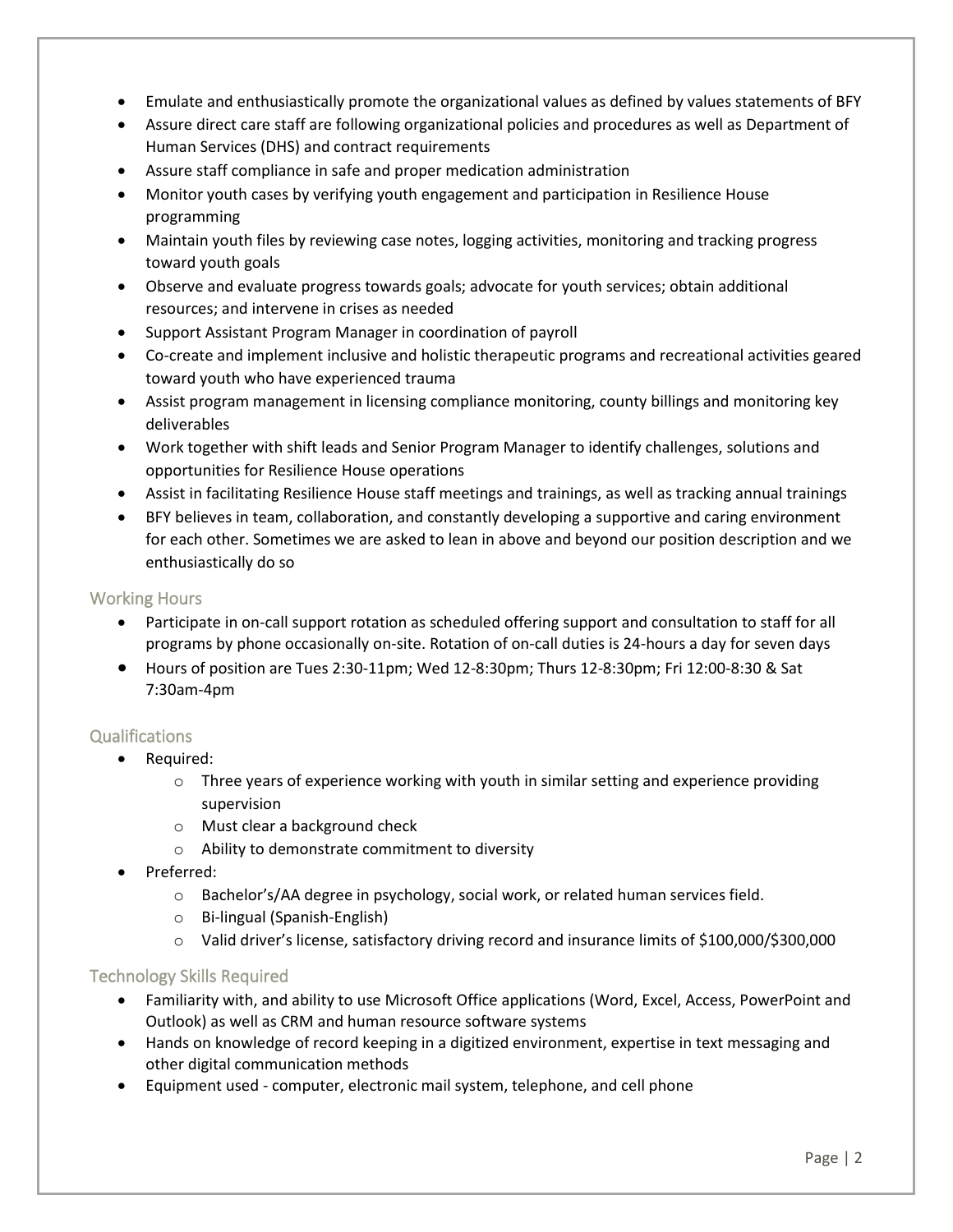- Emulate and enthusiastically promote the organizational values as defined by values statements of BFY
- Assure direct care staff are following organizational policies and procedures as well as Department of Human Services (DHS) and contract requirements
- Assure staff compliance in safe and proper medication administration
- Monitor youth cases by verifying youth engagement and participation in Resilience House programming
- Maintain youth files by reviewing case notes, logging activities, monitoring and tracking progress toward youth goals
- Observe and evaluate progress towards goals; advocate for youth services; obtain additional resources; and intervene in crises as needed
- Support Assistant Program Manager in coordination of payroll
- Co-create and implement inclusive and holistic therapeutic programs and recreational activities geared toward youth who have experienced trauma
- Assist program management in licensing compliance monitoring, county billings and monitoring key deliverables
- Work together with shift leads and Senior Program Manager to identify challenges, solutions and opportunities for Resilience House operations
- Assist in facilitating Resilience House staff meetings and trainings, as well as tracking annual trainings
- BFY believes in team, collaboration, and constantly developing a supportive and caring environment for each other. Sometimes we are asked to lean in above and beyond our position description and we enthusiastically do so

### Working Hours

- Participate in on-call support rotation as scheduled offering support and consultation to staff for all programs by phone occasionally on-site. Rotation of on-call duties is 24-hours a day for seven days
- Hours of position are Tues 2:30-11pm; Wed 12-8:30pm; Thurs 12-8:30pm; Fri 12:00-8:30 & Sat 7:30am-4pm

# Qualifications

- Required:
	- $\circ$  Three years of experience working with youth in similar setting and experience providing supervision
	- o Must clear a background check
	- o Ability to demonstrate commitment to diversity
- Preferred:
	- o Bachelor's/AA degree in psychology, social work, or related human services field.
	- o Bi-lingual (Spanish-English)
	- o Valid driver's license, satisfactory driving record and insurance limits of \$100,000/\$300,000

### Technology Skills Required

- Familiarity with, and ability to use Microsoft Office applications (Word, Excel, Access, PowerPoint and Outlook) as well as CRM and human resource software systems
- Hands on knowledge of record keeping in a digitized environment, expertise in text messaging and other digital communication methods
- Equipment used computer, electronic mail system, telephone, and cell phone